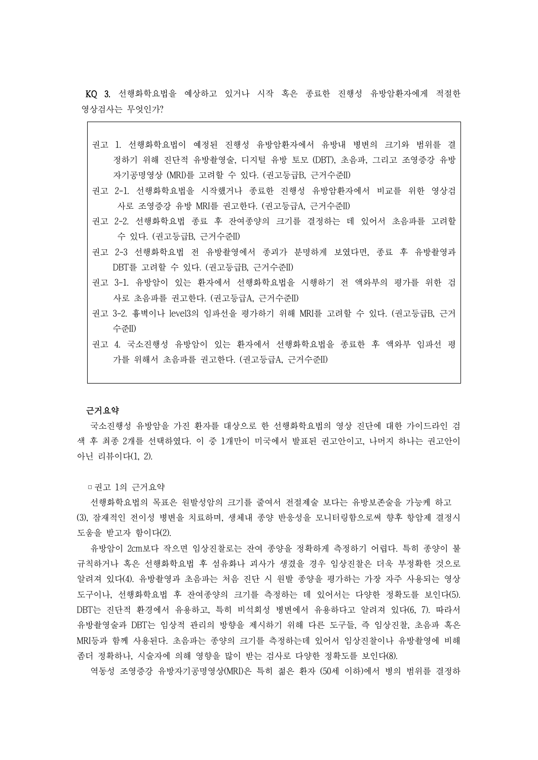KQ 3. 선행화학요법을 예상하고 있거나 시작 혹은 종료한 진행성 유방암환자에게 적절한 영상검사는 무엇인가?

- 권고 1. 선행화학요법이 예정된 진행성 유방암환자에서 유방내 병변의 크기와 범위를 결 정하기 위해 진단적 유방촬영술, 디지털 유방 토모 (DBT), 초음파, 그리고 조영증강 유방 자기공명영상 (MRI)를 고려할 수 있다. (권고등급B, 근거수준II)
- 권고 2-1. 선행화학요법을 시작했거나 종료한 진행성 유방암환자에서 비교를 위한 영상검 사로 조영증강 유방 MRI를 권고한다. (권고등급A, 근거수준II)
- 권고 2-2. 선행화학요법 종료 후 잔여종양의 크기를 결정하는 데 있어서 초음파를 고려할 수 있다. (권고등급B, 근거수준II)
- 권고 2-3 선행화학요법 전 유방촬영에서 종괴가 분명하게 보였다면, 종료 후 유방촬영과 DBT를 고려할 수 있다. (권고등급B, 근거수준II)
- 권고 3-1. 유방암이 있는 환자에서 선행화학요법을 시행하기 전 액와부의 평가를 위한 검 사로 초음파를 권고한다. (권고등급A, 근거수준II)
- 권고 3-2. 흉벽이나 level3의 임파선을 평가하기 위해 MRI를 고려할 수 있다. (권고등급B, 근거 수준II)
- 권고 4. 국소진행성 유방암이 있는 환자에서 선행화학요법을 종료한 후 액와부 임파선 평 가를 위해서 초음파를 권고한다. (권고등급A, 근거수준II)

### 근거요약

국소진행성 유방암을 가진 환자를 대상으로 한 선행화학요법의 영상 진단에 대한 가이드라인 검 색 후 최종 2개를 선택하였다. 이 중 1개만이 미국에서 발표된 권고안이고, 나머지 하나는 권고안이 아닌 리뷰이다(1, 2).

▫권고 1의 근거요약

선행화학요법의 목표은 원발성암의 크기를 줄여서 전절제술 보다는 유방보존술을 가능케 하고 (3), 잠재적인 전이성 병변을 치료하며, 생체내 종양 반응성을 모니터링함으로써 향후 항암제 결정시 도움을 받고자 함이다(2).

유방암이 2cm보다 작으면 임상진찰로는 잔여 종양을 정확하게 측정하기 어렵다. 특히 종양이 불 규칙하거나 혹은 선행화학요법 후 섬유화나 괴사가 생겼을 경우 임상진찰은 더욱 부정확한 것으로 알려져 있다(4). 유방촬영과 초음파는 처음 진단 시 원발 종양을 평가하는 가장 자주 사용되는 영상 도구이나, 선행화학요법 후 잔여종양의 크기를 측정하는 데 있어서는 다양한 정확도를 보인다(5).<br>DBT는 진단적 환경에서 유용하고, 특히 비석회성 병변에서 유용하다고 알려져 있다(6, 7). 따라서 유방촬영술과 DBT는 임상적 관리의 방향을 제시하기 위해 다른 도구들, 즉 임상진찰, 초음파 혹은 MRI등과 함께 사용된다. 초음파는 종양의 크기를 측정하는데 있어서 임상진찰이나 유방촬영에 비해 좀더 정확하나, 시술자에 의해 영향을 많이 받는 검사로 다양한 정확도를 보인다(8). 역동성 조영증강 유방자기공명영상(MRI)은 특히 젊은 환자 (50세 이하)에서 병의 범위를 결정하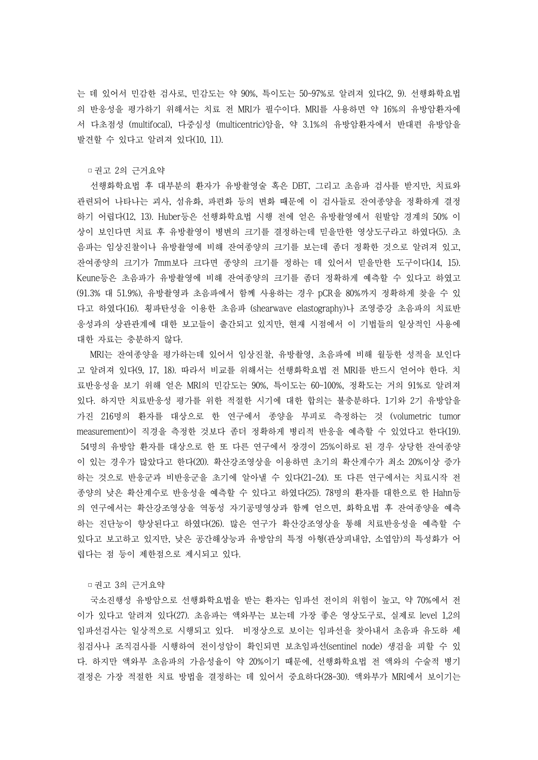는 데 있어서 민감한 검사로, 민감도는 약 90%, 특이도는 50~97%로 알려져 있다(2, 9). 선행화학요법 의 반응성을 평가하기 위해서는 치료 전 MRI가 필수이다. MRI를 사용하면 약 16%의 유방암환자에 서 다초점성 (multifocal), 다중심성 (multicentric)암을, 약 3.1%의 유방암환자에서 반대편 유방암을 발견할 수 있다고 알려져 있다(10, 11).

## □권고 2의 근거요약

선행화학요법 후 대부분의 환자가 유방촬영술 혹은 DBT, 그리고 초음파 검사를 받지만, 치료와 관련되어 나타나는 괴사, 섬유화, 파편화 등의 변화 때문에 이 검사들로 잔여종양을 정확하게 결정 하기 어렵다(12, 13). Huber등은 선행화학요법 시행 전에 얻은 유방촬영에서 원발암 경계의 50% 이 상이 보인다면 치료 후 유방촬영이 병변의 크기를 결정하는데 믿을만한 영상도구라고 하였다(5). 초 음파는 임상진찰이나 유방촬영에 비해 잔여종양의 크기를 보는데 좀더 정확한 것으로 알려져 있고,<br>잔여종양의 크기가 7mm보다 크다면 종양의 크기를 정하는 데 있어서 믿을만한 도구이다(14, 15).<br>Keune등은 초음파가 유방촬영에 비해 잔여종양의 크기를 좀더 정확하게 예측할 수 있다고 하였고 (91.3% 대 51.9%), 유방촬영과 초음파에서 함께 사용하는 경우 pCR을 80%까지 정확하게 찾을 수 있 다고 하였다(16). 횡파탄성을 이용한 초음파 (shearwave elastography)나 조영증강 초음파의 치료반 응성과의 상관관계에 대한 보고들이 출간되고 있지만, 현재 시점에서 이 기법들의 일상적인 사용에 대한 자료는 충분하지 않다.<br>-<br>MRI는 잔여종양을 평가하는데 있어서 임상진찰, 유방촬영, 초음파에 비해 월등한 성적을 보인다

고 알려져 있다(9, 17, 18). 따라서 비교를 위해서는 선행화학요법 전 MRI를 반드시 얻어야 한다. 치 료반응성을 보기 위해 얻은 MRI의 민감도는 90%, 특이도는 60~100%, 정확도는 거의 91%로 알려져 있다. 하지만 치료반응성 평가를 위한 적절한 시기에 대한 합의는 불충분하다. 1기와 2기 유방암을 가진 216명의 환자를 대상으로 한 연구에서 종양을 부피로 측정하는 것 (volumetric tumor measurement)이 직경을 측정한 것보다 좀더 정확하게 병리적 반응을 예측할 수 있었다고 한다(19). 54명의 유방암 환자를 대상으로 한 또 다른 연구에서 장경이 25%이하로 된 경우 상당한 잔여종양 이 있는 경우가 많았다고 한다(20). 확산강조영상을 이용하면 초기의 확산계수가 최소 20%이상 증가 하는 것으로 반응군과 비반응군을 초기에 알아낼 수 있다(21-24). 또 다른 연구에서는 치료시작 전 종양의 낮은 확산계수로 반응성을 예측할 수 있다고 하였다(25). 78명의 환자를 대한으로 한 Hahn등 의 연구에서는 확산강조영상을 역동성 자기공명영상과 함께 얻으면, 화학요법 후 잔여종양을 예측 하는 진단능이 향상된다고 하였다(26). 많은 연구가 확산강조영상을 통해 치료반응성을 예측할 수 있다고 보고하고 있지만, 낮은 공간해상능과 유방암의 특정 아형(관상피내암, 소엽암)의 특성화가 어 렵다는 점 등이 제한점으로 제시되고 있다.

## □권고 3의 근거요약

국소진행성 유방암으로 선행화학요법을 받는 환자는 임파선 전이의 위험이 높고, 약 70%에서 전 이가 있다고 알려져 있다(27). 초음파는 액와부는 보는데 가장 좋은 영상도구로, 실제로 level 1,2의 임파선검사는 일상적으로 시행되고 있다. 비정상으로 보이는 임파선을 찾아내서 초음파 유도하 세 침검사나 조직검사를 시행하여 전이성암이 확인되면 보초임파선(sentinel node) 생검을 피할 수 있 다. 하지만 액와부 초음파의 가음성율이 약 20%이기 때문에, 선행화학요법 전 액와의 수술적 병기 결정은 가장 적절한 치료 방법을 결정하는 데 있어서 중요하다(28-30). 액와부가 MRI에서 보이기는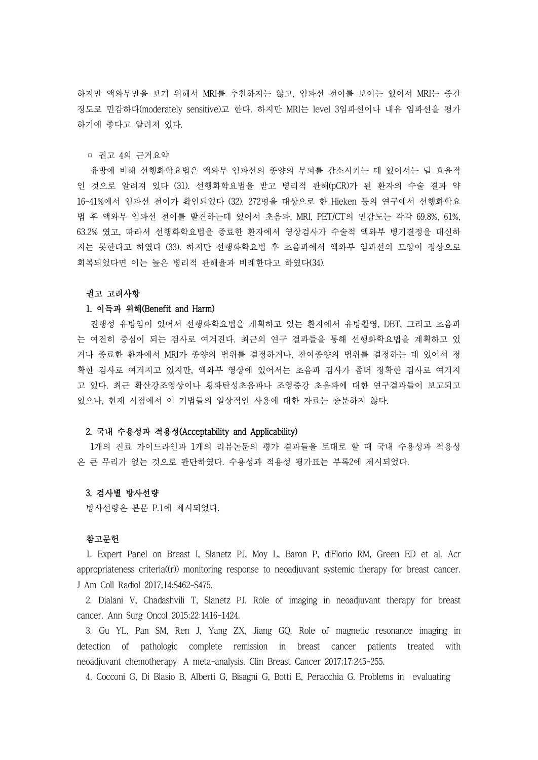하지만 액와부만을 보기 위해서 MRI를 추천하지는 않고, 임파선 전이를 보이는 있어서 MRI는 중간 정도로 민감하다(moderately sensitive)고 한다. 하지만 MRI는 level 3임파선이나 내유 임파선을 평가 하기에 좋다고 알려져 있다.

# ▫ 권고 4의 근거요약

유방에 비해 선행화학요법은 액와부 임파선의 종양의 부피를 감소시키는 데 있어서는 덜 효율적 인 것으로 알려져 있다 (31). 선행화학요법을 받고 병리적 관해(pCR)가 된 환자의 수술 결과 약 16~41%에서 임파선 전이가 확인되었다 (32). 272명을 대상으로 한 Hieken 등의 연구에서 선행화학요 법 후 액와부 임파선 전이를 발견하는데 있어서 초음파, MRI, PET/CT의 민감도는 각각 69.8%, 61%, 63.2% 였고, 따라서 선행화학요법을 종료한 환자에서 영상검사가 수술적 액와부 병기결정을 대신하 지는 못한다고 하였다 (33). 하지만 선행화학요법 후 초음파에서 액와부 임파선의 모양이 정상으로 회복되었다면 이는 높은 병리적 관해율과 비례한다고 하였다(34).<br>-<br>**권고 고려사항** 

## 1. 이득과 위해(Benefit and Harm)

진행성 유방암이 있어서 선행화학요법을 계획하고 있는 환자에서 유방촬영, DBT, 그리고 초음파 는 여전히 중심이 되는 검사로 여겨진다. 최근의 연구 결과들을 통해 선행화학요법을 계획하고 있 거나 종료한 환자에서 MRI가 종양의 범위를 결정하거나, 잔여종양의 범위를 결정하는 데 있어서 정 확한 검사로 여겨지고 있지만, 액와부 영상에 있어서는 초음파 검사가 좀더 정확한 검사로 여겨지 고 있다. 최근 확산강조영상이나 횡파탄성초음파나 조영증강 초음파에 대한 연구결과들이 보고되고 있으나, 현재 시점에서 이 기법들의 일상적인 사용에 대한 자료는 충분하지 않다.

## 2. 국내 수용성과 적용성(Acceptability and Applicability)

1개의 진료 가이드라인과 1개의 리뷰논문의 평가 결과들을 토대로 할 때 국내 수용성과 적용성 은 큰 무리가 없는 것으로 판단하였다. 수용성과 적용성 평가표는 부록2에 제시되었다.

# 3. 검사별 방사선량

방사선량은 본문 P.1에 제시되었다.

### 참고문헌

1. Expert Panel on Breast I, Slanetz PJ, Moy L, Baron P, diFlorio RM, Green ED et al. Acr appropriateness criteria((r)) monitoring response to neoadjuvant systemic therapy for breast cancer. J Am Coll Radiol 2017;14:S462-S475.

2. Dialani V, Chadashvili T, Slanetz PJ. Role of imaging in neoadjuvant therapy for breast cancer. Ann Surg Oncol 2015;22:1416-1424.

3. Gu YL, Pan SM, Ren J, Yang ZX, Jiang GQ. Role of magnetic resonance imaging in detection of pathologic complete remission in breast cancer patients treated with neoadjuvant chemotherapy: A meta-analysis. Clin Breast Cancer 2017;17:245-255.

4. Cocconi G, Di Blasio B, Alberti G, Bisagni G, Botti E, Peracchia G. Problems in evaluating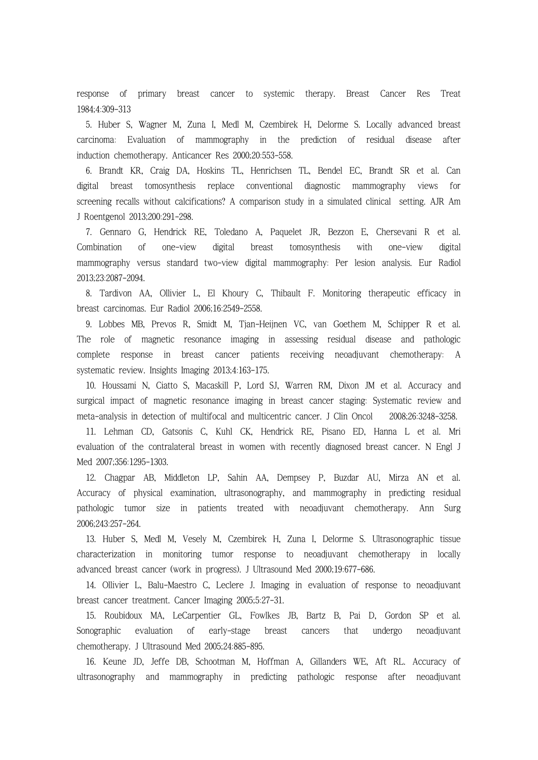response of primary breast cancer to systemic therapy. Breast Cancer Res Treat 1984;4:309-313

5. Huber S, Wagner M, Zuna I, Medl M, Czembirek H, Delorme S. Locally advanced breast carcinoma: Evaluation of mammography in the prediction of residual disease after induction chemotherapy. Anticancer Res 2000;20:553-558.

6. Brandt KR, Craig DA, Hoskins TL, Henrichsen TL, Bendel EC, Brandt SR et al. Can digital breast tomosynthesis replace conventional diagnostic mammography views for screening recalls without calcifications? A comparison study in a simulated clinical setting. AJR Am J Roentgenol 2013;200:291-298.

7. Gennaro G, Hendrick RE, Toledano A, Paquelet JR, Bezzon E, Chersevani R et al. Combination of one-view digital breast tomosynthesis with one-view digital mammography versus standard two-view digital mammography: Per lesion analysis. Eur Radiol 2013;23:2087-2094.

8. Tardivon AA, Ollivier L, El Khoury C, Thibault F. Monitoring therapeutic efficacy in breast carcinomas. Eur Radiol 2006;16:2549-2558.

9. Lobbes MB, Prevos R, Smidt M, Tjan-Heijnen VC, van Goethem M, Schipper R et al. The role of magnetic resonance imaging in assessing residual disease and pathologic complete response in breast cancer patients receiving neoadjuvant chemotherapy: A systematic review. Insights Imaging 2013;4:163-175.

10. Houssami N, Ciatto S, Macaskill P, Lord SJ, Warren RM, Dixon JM et al. Accuracy and surgical impact of magnetic resonance imaging in breast cancer staging: Systematic review and meta-analysis in detection of multifocal and multicentric cancer. J Clin Oncol 2008;26:3248-3258.

11. Lehman CD, Gatsonis C, Kuhl CK, Hendrick RE, Pisano ED, Hanna L et al. Mri evaluation of the contralateral breast in women with recently diagnosed breast cancer. N Engl J Med 2007;356:1295-1303.

12. Chagpar AB, Middleton LP, Sahin AA, Dempsey P, Buzdar AU, Mirza AN et al. Accuracy of physical examination, ultrasonography, and mammography in predicting residual pathologic tumor size in patients treated with neoadjuvant chemotherapy. Ann Surg 2006;243:257-264.

13. Huber S, Medl M, Vesely M, Czembirek H, Zuna I, Delorme S. Ultrasonographic tissue characterization in monitoring tumor response to neoadjuvant chemotherapy in locally advanced breast cancer (work in progress). J Ultrasound Med 2000;19:677-686.

14. Ollivier L, Balu-Maestro C, Leclere J. Imaging in evaluation of response to neoadjuvant breast cancer treatment. Cancer Imaging 2005;5:27-31.

15. Roubidoux MA, LeCarpentier GL, Fowlkes JB, Bartz B, Pai D, Gordon SP et al. Sonographic evaluation of early-stage breast cancers that undergo neoadjuvant chemotherapy. J Ultrasound Med 2005;24:885-895.

16. Keune JD, Jeffe DB, Schootman M, Hoffman A, Gillanders WE, Aft RL. Accuracy of ultrasonography and mammography in predicting pathologic response after neoadjuvant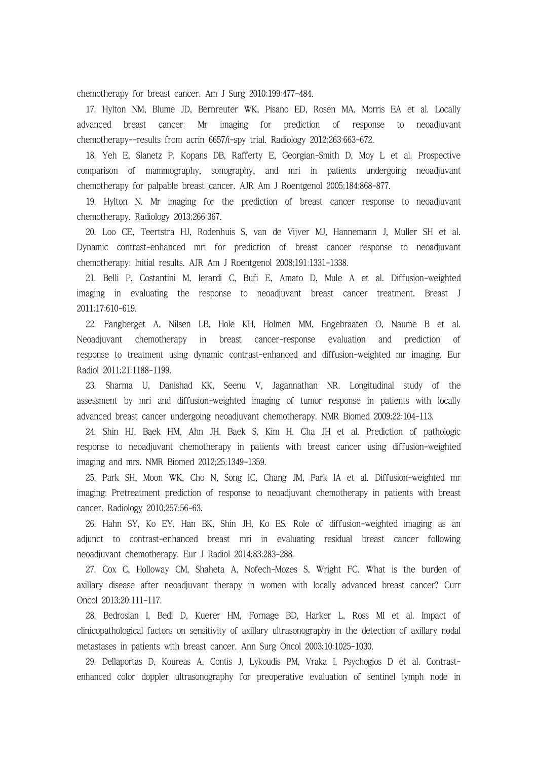chemotherapy for breast cancer. Am J Surg 2010;199:477-484.

17. Hylton NM, Blume JD, Bernreuter WK, Pisano ED, Rosen MA, Morris EA et al. Locally advanced breast cancer: Mr imaging for prediction of response to neoadjuvant chemotherapy--results from acrin 6657/i-spy trial. Radiology 2012;263:663-672.

18. Yeh E, Slanetz P, Kopans DB, Rafferty E, Georgian-Smith D, Moy L et al. Prospective comparison of mammography, sonography, and mri in patients undergoing neoadjuvant chemotherapy for palpable breast cancer. AJR Am J Roentgenol 2005;184:868-877.

19. Hylton N. Mr imaging for the prediction of breast cancer response to neoadjuvant chemotherapy. Radiology 2013;266:367.

20. Loo CE, Teertstra HJ, Rodenhuis S, van de Vijver MJ, Hannemann J, Muller SH et al. Dynamic contrast-enhanced mri for prediction of breast cancer response to neoadjuvant chemotherapy: Initial results. AJR Am J Roentgenol 2008;191:1331-1338.

21. Belli P, Costantini M, Ierardi C, Bufi E, Amato D, Mule A et al. Diffusion-weighted imaging in evaluating the response to neoadjuvant breast cancer treatment. Breast J 2011;17:610-619.

22. Fangberget A, Nilsen LB, Hole KH, Holmen MM, Engebraaten O, Naume B et al. Neoadjuvant chemotherapy in breast cancer-response evaluation and prediction of response to treatment using dynamic contrast-enhanced and diffusion-weighted mr imaging. Eur Radiol 2011;21:1188-1199.

23. Sharma U, Danishad KK, Seenu V, Jagannathan NR. Longitudinal study of the assessment by mri and diffusion-weighted imaging of tumor response in patients with locally advanced breast cancer undergoing neoadjuvant chemotherapy. NMR Biomed 2009;22:104-113.

24. Shin HJ, Baek HM, Ahn JH, Baek S, Kim H, Cha JH et al. Prediction of pathologic response to neoadjuvant chemotherapy in patients with breast cancer using diffusion-weighted imaging and mrs. NMR Biomed 2012;25:1349-1359.

25. Park SH, Moon WK, Cho N, Song IC, Chang JM, Park IA et al. Diffusion-weighted mr imaging: Pretreatment prediction of response to neoadjuvant chemotherapy in patients with breast cancer. Radiology 2010;257:56-63.

26. Hahn SY, Ko EY, Han BK, Shin JH, Ko ES. Role of diffusion-weighted imaging as an adjunct to contrast-enhanced breast mri in evaluating residual breast cancer following neoadjuvant chemotherapy. Eur J Radiol 2014;83:283-288.

27. Cox C, Holloway CM, Shaheta A, Nofech-Mozes S, Wright FC. What is the burden of axillary disease after neoadjuvant therapy in women with locally advanced breast cancer? Curr Oncol 2013;20:111-117.

28. Bedrosian I, Bedi D, Kuerer HM, Fornage BD, Harker L, Ross MI et al. Impact of clinicopathological factors on sensitivity of axillary ultrasonography in the detection of axillary nodal metastases in patients with breast cancer. Ann Surg Oncol 2003;10:1025-1030.

29. Dellaportas D, Koureas A, Contis J, Lykoudis PM, Vraka I, Psychogios D et al. Contrastenhanced color doppler ultrasonography for preoperative evaluation of sentinel lymph node in